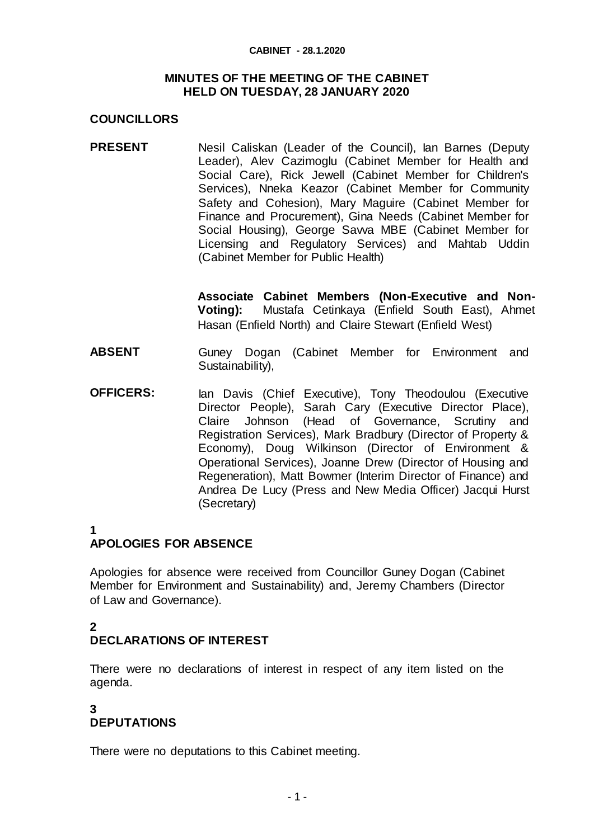#### **CABINET - 28.1.2020**

#### **MINUTES OF THE MEETING OF THE CABINET HELD ON TUESDAY, 28 JANUARY 2020**

#### **COUNCILLORS**

**PRESENT** Nesil Caliskan (Leader of the Council), Ian Barnes (Deputy Leader), Alev Cazimoglu (Cabinet Member for Health and Social Care), Rick Jewell (Cabinet Member for Children's Services), Nneka Keazor (Cabinet Member for Community Safety and Cohesion), Mary Maguire (Cabinet Member for Finance and Procurement), Gina Needs (Cabinet Member for Social Housing), George Sawa MBE (Cabinet Member for Licensing and Regulatory Services) and Mahtab Uddin (Cabinet Member for Public Health)

> **Associate Cabinet Members (Non-Executive and Non-Voting):** Mustafa Cetinkaya (Enfield South East), Ahmet Hasan (Enfield North) and Claire Stewart (Enfield West)

- **ABSENT** Guney Dogan (Cabinet Member for Environment and Sustainability).
- **OFFICERS:** Ian Davis (Chief Executive), Tony Theodoulou (Executive Director People), Sarah Cary (Executive Director Place), Claire Johnson (Head of Governance, Scrutiny and Registration Services), Mark Bradbury (Director of Property & Economy), Doug Wilkinson (Director of Environment & Operational Services), Joanne Drew (Director of Housing and Regeneration), Matt Bowmer (Interim Director of Finance) and Andrea De Lucy (Press and New Media Officer) Jacqui Hurst (Secretary)
- **1**

# **APOLOGIES FOR ABSENCE**

Apologies for absence were received from Councillor Guney Dogan (Cabinet Member for Environment and Sustainability) and, Jeremy Chambers (Director of Law and Governance).

### **2 DECLARATIONS OF INTEREST**

There were no declarations of interest in respect of any item listed on the agenda.

### **3 DEPUTATIONS**

There were no deputations to this Cabinet meeting.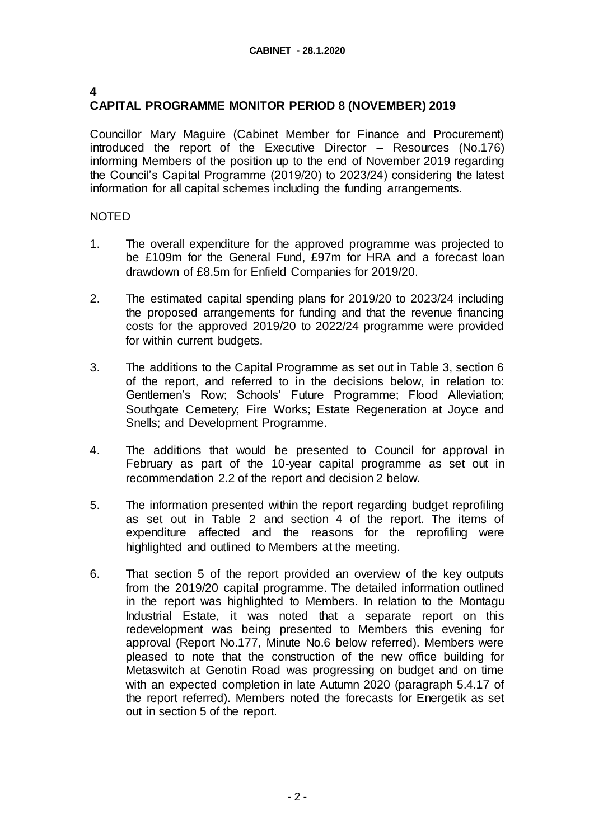### **4**

# **CAPITAL PROGRAMME MONITOR PERIOD 8 (NOVEMBER) 2019**

Councillor Mary Maguire (Cabinet Member for Finance and Procurement) introduced the report of the Executive Director – Resources (No.176) informing Members of the position up to the end of November 2019 regarding the Council's Capital Programme (2019/20) to 2023/24) considering the latest information for all capital schemes including the funding arrangements.

- 1. The overall expenditure for the approved programme was projected to be £109m for the General Fund, £97m for HRA and a forecast loan drawdown of £8.5m for Enfield Companies for 2019/20.
- 2. The estimated capital spending plans for 2019/20 to 2023/24 including the proposed arrangements for funding and that the revenue financing costs for the approved 2019/20 to 2022/24 programme were provided for within current budgets.
- 3. The additions to the Capital Programme as set out in Table 3, section 6 of the report, and referred to in the decisions below, in relation to: Gentlemen's Row; Schools' Future Programme; Flood Alleviation; Southgate Cemetery; Fire Works; Estate Regeneration at Joyce and Snells; and Development Programme.
- 4. The additions that would be presented to Council for approval in February as part of the 10-year capital programme as set out in recommendation 2.2 of the report and decision 2 below.
- 5. The information presented within the report regarding budget reprofiling as set out in Table 2 and section 4 of the report. The items of expenditure affected and the reasons for the reprofiling were highlighted and outlined to Members at the meeting.
- 6. That section 5 of the report provided an overview of the key outputs from the 2019/20 capital programme. The detailed information outlined in the report was highlighted to Members. In relation to the Montagu Industrial Estate, it was noted that a separate report on this redevelopment was being presented to Members this evening for approval (Report No.177, Minute No.6 below referred). Members were pleased to note that the construction of the new office building for Metaswitch at Genotin Road was progressing on budget and on time with an expected completion in late Autumn 2020 (paragraph 5.4.17 of the report referred). Members noted the forecasts for Energetik as set out in section 5 of the report.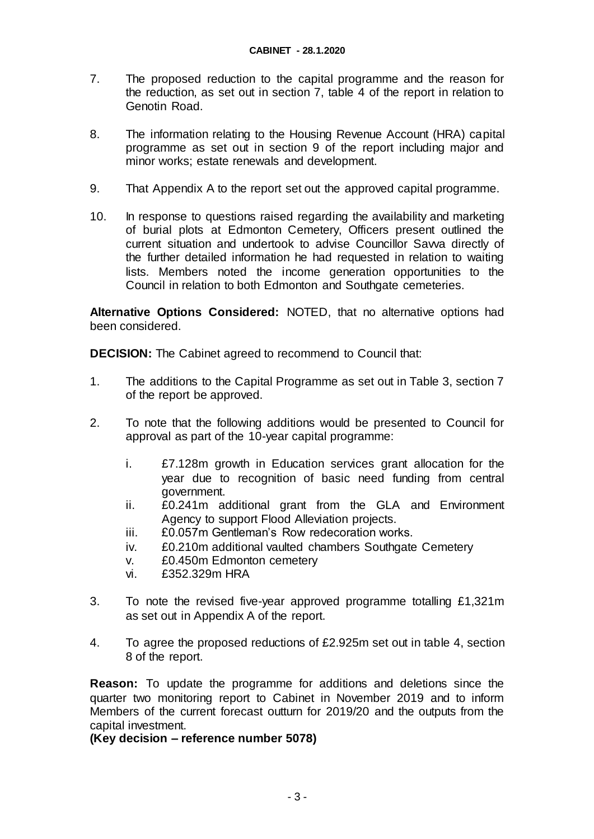- 7. The proposed reduction to the capital programme and the reason for the reduction, as set out in section 7, table 4 of the report in relation to Genotin Road.
- 8. The information relating to the Housing Revenue Account (HRA) capital programme as set out in section 9 of the report including major and minor works; estate renewals and development.
- 9. That Appendix A to the report set out the approved capital programme.
- 10. In response to questions raised regarding the availability and marketing of burial plots at Edmonton Cemetery, Officers present outlined the current situation and undertook to advise Councillor Savva directly of the further detailed information he had requested in relation to waiting lists. Members noted the income generation opportunities to the Council in relation to both Edmonton and Southgate cemeteries.

**Alternative Options Considered:** NOTED, that no alternative options had been considered.

**DECISION:** The Cabinet agreed to recommend to Council that:

- 1. The additions to the Capital Programme as set out in Table 3, section 7 of the report be approved.
- 2. To note that the following additions would be presented to Council for approval as part of the 10-year capital programme:
	- i. £7.128m growth in Education services grant allocation for the year due to recognition of basic need funding from central government.
	- ii. £0.241m additional grant from the GLA and Environment Agency to support Flood Alleviation projects.
	- iii. £0.057m Gentleman's Row redecoration works.
	- iv. £0.210m additional vaulted chambers Southgate Cemetery
	- v. £0.450m Edmonton cemetery
	- vi. £352.329m HRA
- 3. To note the revised five-year approved programme totalling £1,321m as set out in Appendix A of the report.
- 4. To agree the proposed reductions of £2.925m set out in table 4, section 8 of the report.

**Reason:** To update the programme for additions and deletions since the quarter two monitoring report to Cabinet in November 2019 and to inform Members of the current forecast outturn for 2019/20 and the outputs from the capital investment.

**(Key decision – reference number 5078)**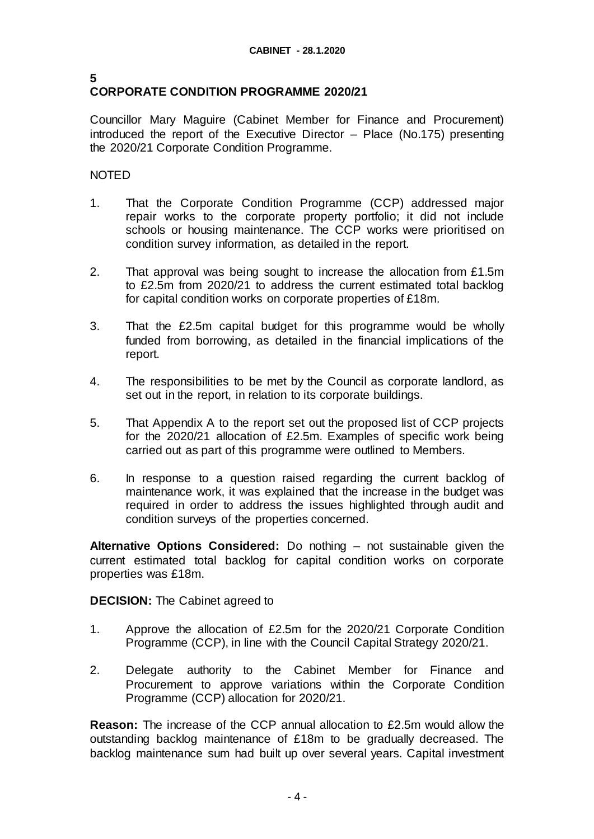#### **5 CORPORATE CONDITION PROGRAMME 2020/21**

Councillor Mary Maguire (Cabinet Member for Finance and Procurement) introduced the report of the Executive Director – Place (No.175) presenting the 2020/21 Corporate Condition Programme.

## NOTED

- 1. That the Corporate Condition Programme (CCP) addressed major repair works to the corporate property portfolio; it did not include schools or housing maintenance. The CCP works were prioritised on condition survey information, as detailed in the report.
- 2. That approval was being sought to increase the allocation from £1.5m to £2.5m from 2020/21 to address the current estimated total backlog for capital condition works on corporate properties of £18m.
- 3. That the £2.5m capital budget for this programme would be wholly funded from borrowing, as detailed in the financial implications of the report.
- 4. The responsibilities to be met by the Council as corporate landlord, as set out in the report, in relation to its corporate buildings.
- 5. That Appendix A to the report set out the proposed list of CCP projects for the 2020/21 allocation of £2.5m. Examples of specific work being carried out as part of this programme were outlined to Members.
- 6. In response to a question raised regarding the current backlog of maintenance work, it was explained that the increase in the budget was required in order to address the issues highlighted through audit and condition surveys of the properties concerned.

**Alternative Options Considered:** Do nothing – not sustainable given the current estimated total backlog for capital condition works on corporate properties was £18m.

#### **DECISION:** The Cabinet agreed to

- 1. Approve the allocation of £2.5m for the 2020/21 Corporate Condition Programme (CCP), in line with the Council Capital Strategy 2020/21.
- 2. Delegate authority to the Cabinet Member for Finance and Procurement to approve variations within the Corporate Condition Programme (CCP) allocation for 2020/21.

**Reason:** The increase of the CCP annual allocation to £2.5m would allow the outstanding backlog maintenance of £18m to be gradually decreased. The backlog maintenance sum had built up over several years. Capital investment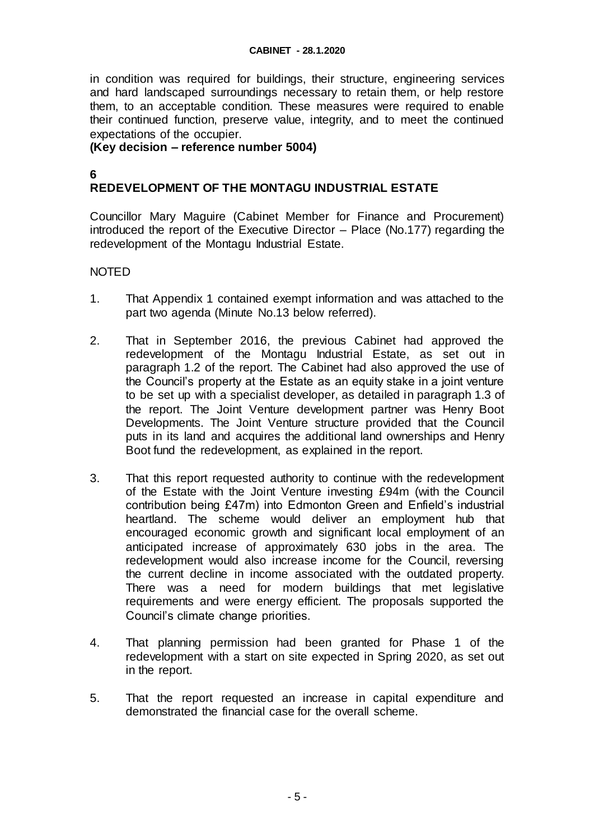#### **CABINET - 28.1.2020**

in condition was required for buildings, their structure, engineering services and hard landscaped surroundings necessary to retain them, or help restore them, to an acceptable condition. These measures were required to enable their continued function, preserve value, integrity, and to meet the continued expectations of the occupier.

#### **(Key decision – reference number 5004)**

# **6**

# **REDEVELOPMENT OF THE MONTAGU INDUSTRIAL ESTATE**

Councillor Mary Maguire (Cabinet Member for Finance and Procurement) introduced the report of the Executive Director – Place (No.177) regarding the redevelopment of the Montagu Industrial Estate.

- 1. That Appendix 1 contained exempt information and was attached to the part two agenda (Minute No.13 below referred).
- 2. That in September 2016, the previous Cabinet had approved the redevelopment of the Montagu Industrial Estate, as set out in paragraph 1.2 of the report. The Cabinet had also approved the use of the Council's property at the Estate as an equity stake in a joint venture to be set up with a specialist developer, as detailed in paragraph 1.3 of the report. The Joint Venture development partner was Henry Boot Developments. The Joint Venture structure provided that the Council puts in its land and acquires the additional land ownerships and Henry Boot fund the redevelopment, as explained in the report.
- 3. That this report requested authority to continue with the redevelopment of the Estate with the Joint Venture investing £94m (with the Council contribution being £47m) into Edmonton Green and Enfield's industrial heartland. The scheme would deliver an employment hub that encouraged economic growth and significant local employment of an anticipated increase of approximately 630 jobs in the area. The redevelopment would also increase income for the Council, reversing the current decline in income associated with the outdated property. There was a need for modern buildings that met legislative requirements and were energy efficient. The proposals supported the Council's climate change priorities.
- 4. That planning permission had been granted for Phase 1 of the redevelopment with a start on site expected in Spring 2020, as set out in the report.
- 5. That the report requested an increase in capital expenditure and demonstrated the financial case for the overall scheme.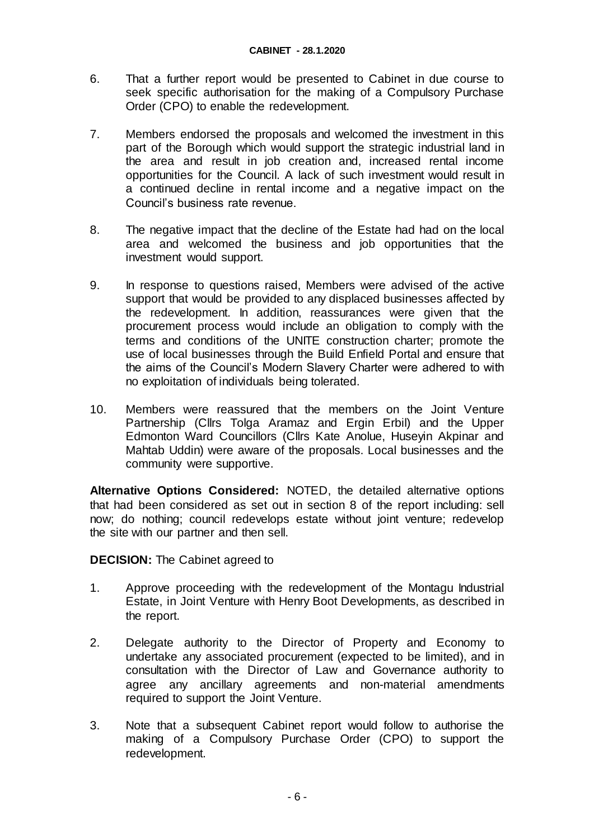- 6. That a further report would be presented to Cabinet in due course to seek specific authorisation for the making of a Compulsory Purchase Order (CPO) to enable the redevelopment.
- 7. Members endorsed the proposals and welcomed the investment in this part of the Borough which would support the strategic industrial land in the area and result in job creation and, increased rental income opportunities for the Council. A lack of such investment would result in a continued decline in rental income and a negative impact on the Council's business rate revenue.
- 8. The negative impact that the decline of the Estate had had on the local area and welcomed the business and job opportunities that the investment would support.
- 9. In response to questions raised, Members were advised of the active support that would be provided to any displaced businesses affected by the redevelopment. In addition, reassurances were given that the procurement process would include an obligation to comply with the terms and conditions of the UNITE construction charter; promote the use of local businesses through the Build Enfield Portal and ensure that the aims of the Council's Modern Slavery Charter were adhered to with no exploitation of individuals being tolerated.
- 10. Members were reassured that the members on the Joint Venture Partnership (Cllrs Tolga Aramaz and Ergin Erbil) and the Upper Edmonton Ward Councillors (Cllrs Kate Anolue, Huseyin Akpinar and Mahtab Uddin) were aware of the proposals. Local businesses and the community were supportive.

**Alternative Options Considered:** NOTED, the detailed alternative options that had been considered as set out in section 8 of the report including: sell now; do nothing; council redevelops estate without joint venture; redevelop the site with our partner and then sell.

#### **DECISION:** The Cabinet agreed to

- 1. Approve proceeding with the redevelopment of the Montagu Industrial Estate, in Joint Venture with Henry Boot Developments, as described in the report.
- 2. Delegate authority to the Director of Property and Economy to undertake any associated procurement (expected to be limited), and in consultation with the Director of Law and Governance authority to agree any ancillary agreements and non-material amendments required to support the Joint Venture.
- 3. Note that a subsequent Cabinet report would follow to authorise the making of a Compulsory Purchase Order (CPO) to support the redevelopment.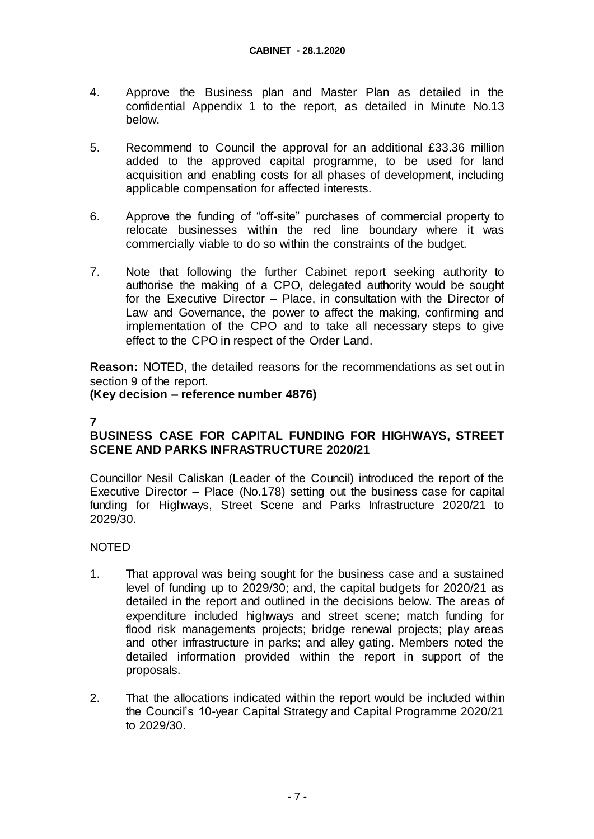- 4. Approve the Business plan and Master Plan as detailed in the confidential Appendix 1 to the report, as detailed in Minute No.13 below.
- 5. Recommend to Council the approval for an additional £33.36 million added to the approved capital programme, to be used for land acquisition and enabling costs for all phases of development, including applicable compensation for affected interests.
- 6. Approve the funding of "off-site" purchases of commercial property to relocate businesses within the red line boundary where it was commercially viable to do so within the constraints of the budget.
- 7. Note that following the further Cabinet report seeking authority to authorise the making of a CPO, delegated authority would be sought for the Executive Director – Place, in consultation with the Director of Law and Governance, the power to affect the making, confirming and implementation of the CPO and to take all necessary steps to give effect to the CPO in respect of the Order Land.

**Reason:** NOTED, the detailed reasons for the recommendations as set out in section 9 of the report.

**(Key decision – reference number 4876)**

# **BUSINESS CASE FOR CAPITAL FUNDING FOR HIGHWAYS, STREET SCENE AND PARKS INFRASTRUCTURE 2020/21**

Councillor Nesil Caliskan (Leader of the Council) introduced the report of the Executive Director – Place (No.178) setting out the business case for capital funding for Highways, Street Scene and Parks Infrastructure 2020/21 to 2029/30.

- 1. That approval was being sought for the business case and a sustained level of funding up to 2029/30; and, the capital budgets for 2020/21 as detailed in the report and outlined in the decisions below. The areas of expenditure included highways and street scene; match funding for flood risk managements projects; bridge renewal projects; play areas and other infrastructure in parks; and alley gating. Members noted the detailed information provided within the report in support of the proposals.
- 2. That the allocations indicated within the report would be included within the Council's 10-year Capital Strategy and Capital Programme 2020/21 to 2029/30.

**<sup>7</sup>**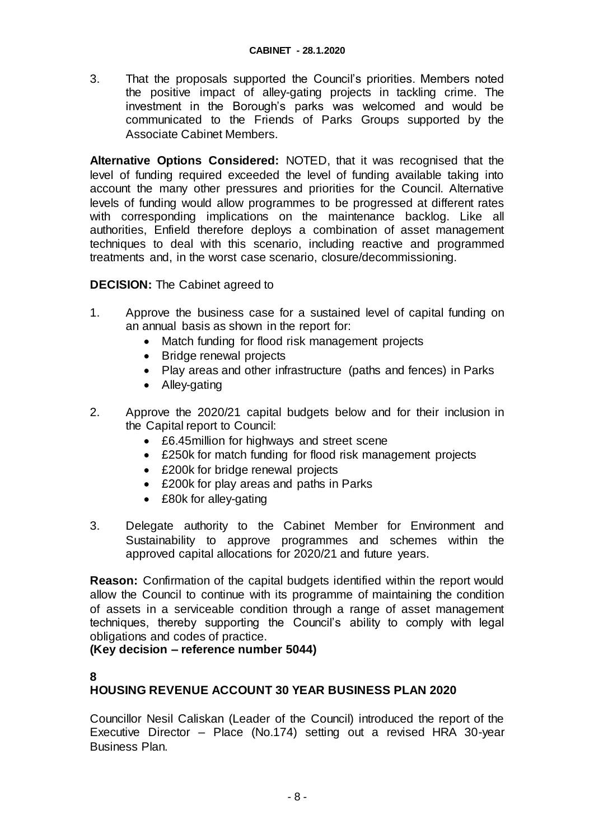3. That the proposals supported the Council's priorities. Members noted the positive impact of alley-gating projects in tackling crime. The investment in the Borough's parks was welcomed and would be communicated to the Friends of Parks Groups supported by the Associate Cabinet Members.

**Alternative Options Considered:** NOTED, that it was recognised that the level of funding required exceeded the level of funding available taking into account the many other pressures and priorities for the Council. Alternative levels of funding would allow programmes to be progressed at different rates with corresponding implications on the maintenance backlog. Like all authorities, Enfield therefore deploys a combination of asset management techniques to deal with this scenario, including reactive and programmed treatments and, in the worst case scenario, closure/decommissioning.

### **DECISION:** The Cabinet agreed to

- 1. Approve the business case for a sustained level of capital funding on an annual basis as shown in the report for:
	- Match funding for flood risk management projects
	- Bridge renewal projects
	- Play areas and other infrastructure (paths and fences) in Parks
	- Alley-gating
- 2. Approve the 2020/21 capital budgets below and for their inclusion in the Capital report to Council:
	- £6.45million for highways and street scene
	- £250k for match funding for flood risk management projects
	- £200k for bridge renewal projects
	- £200k for play areas and paths in Parks
	- £80k for alley-gating
- 3. Delegate authority to the Cabinet Member for Environment and Sustainability to approve programmes and schemes within the approved capital allocations for 2020/21 and future years.

**Reason:** Confirmation of the capital budgets identified within the report would allow the Council to continue with its programme of maintaining the condition of assets in a serviceable condition through a range of asset management techniques, thereby supporting the Council's ability to comply with legal obligations and codes of practice.

#### **(Key decision – reference number 5044)**

#### **8**

# **HOUSING REVENUE ACCOUNT 30 YEAR BUSINESS PLAN 2020**

Councillor Nesil Caliskan (Leader of the Council) introduced the report of the Executive Director – Place (No.174) setting out a revised HRA 30-year Business Plan.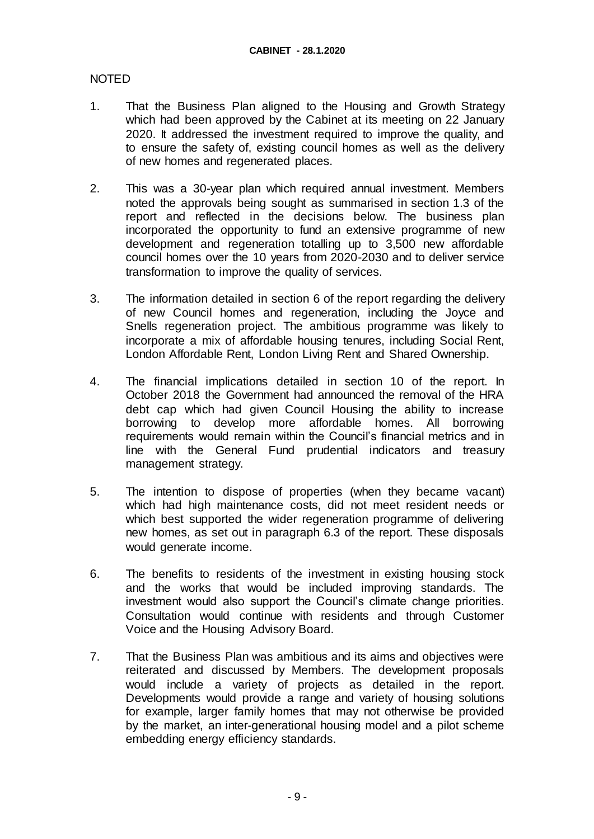- 1. That the Business Plan aligned to the Housing and Growth Strategy which had been approved by the Cabinet at its meeting on 22 January 2020. It addressed the investment required to improve the quality, and to ensure the safety of, existing council homes as well as the delivery of new homes and regenerated places.
- 2. This was a 30-year plan which required annual investment. Members noted the approvals being sought as summarised in section 1.3 of the report and reflected in the decisions below. The business plan incorporated the opportunity to fund an extensive programme of new development and regeneration totalling up to 3,500 new affordable council homes over the 10 years from 2020-2030 and to deliver service transformation to improve the quality of services.
- 3. The information detailed in section 6 of the report regarding the delivery of new Council homes and regeneration, including the Joyce and Snells regeneration project. The ambitious programme was likely to incorporate a mix of affordable housing tenures, including Social Rent, London Affordable Rent, London Living Rent and Shared Ownership.
- 4. The financial implications detailed in section 10 of the report. In October 2018 the Government had announced the removal of the HRA debt cap which had given Council Housing the ability to increase borrowing to develop more affordable homes. All borrowing requirements would remain within the Council's financial metrics and in line with the General Fund prudential indicators and treasury management strategy.
- 5. The intention to dispose of properties (when they became vacant) which had high maintenance costs, did not meet resident needs or which best supported the wider regeneration programme of delivering new homes, as set out in paragraph 6.3 of the report. These disposals would generate income.
- 6. The benefits to residents of the investment in existing housing stock and the works that would be included improving standards. The investment would also support the Council's climate change priorities. Consultation would continue with residents and through Customer Voice and the Housing Advisory Board.
- 7. That the Business Plan was ambitious and its aims and objectives were reiterated and discussed by Members. The development proposals would include a variety of projects as detailed in the report. Developments would provide a range and variety of housing solutions for example, larger family homes that may not otherwise be provided by the market, an inter-generational housing model and a pilot scheme embedding energy efficiency standards.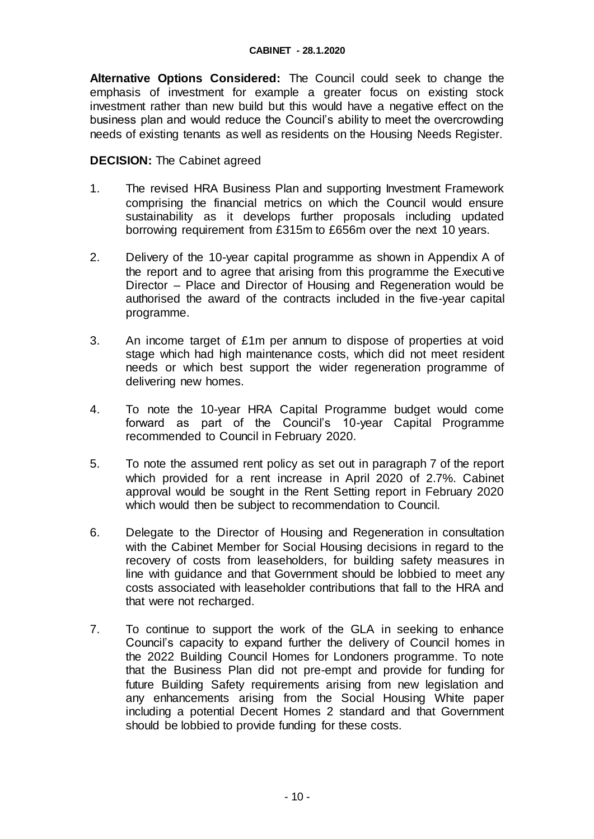**Alternative Options Considered:** The Council could seek to change the emphasis of investment for example a greater focus on existing stock investment rather than new build but this would have a negative effect on the business plan and would reduce the Council's ability to meet the overcrowding needs of existing tenants as well as residents on the Housing Needs Register.

#### **DECISION:** The Cabinet agreed

- 1. The revised HRA Business Plan and supporting Investment Framework comprising the financial metrics on which the Council would ensure sustainability as it develops further proposals including updated borrowing requirement from £315m to £656m over the next 10 years.
- 2. Delivery of the 10-year capital programme as shown in Appendix A of the report and to agree that arising from this programme the Executive Director – Place and Director of Housing and Regeneration would be authorised the award of the contracts included in the five-year capital programme.
- 3. An income target of £1m per annum to dispose of properties at void stage which had high maintenance costs, which did not meet resident needs or which best support the wider regeneration programme of delivering new homes.
- 4. To note the 10-year HRA Capital Programme budget would come forward as part of the Council's 10-year Capital Programme recommended to Council in February 2020.
- 5. To note the assumed rent policy as set out in paragraph 7 of the report which provided for a rent increase in April 2020 of 2.7%. Cabinet approval would be sought in the Rent Setting report in February 2020 which would then be subject to recommendation to Council.
- 6. Delegate to the Director of Housing and Regeneration in consultation with the Cabinet Member for Social Housing decisions in regard to the recovery of costs from leaseholders, for building safety measures in line with guidance and that Government should be lobbied to meet any costs associated with leaseholder contributions that fall to the HRA and that were not recharged.
- 7. To continue to support the work of the GLA in seeking to enhance Council's capacity to expand further the delivery of Council homes in the 2022 Building Council Homes for Londoners programme. To note that the Business Plan did not pre-empt and provide for funding for future Building Safety requirements arising from new legislation and any enhancements arising from the Social Housing White paper including a potential Decent Homes 2 standard and that Government should be lobbied to provide funding for these costs.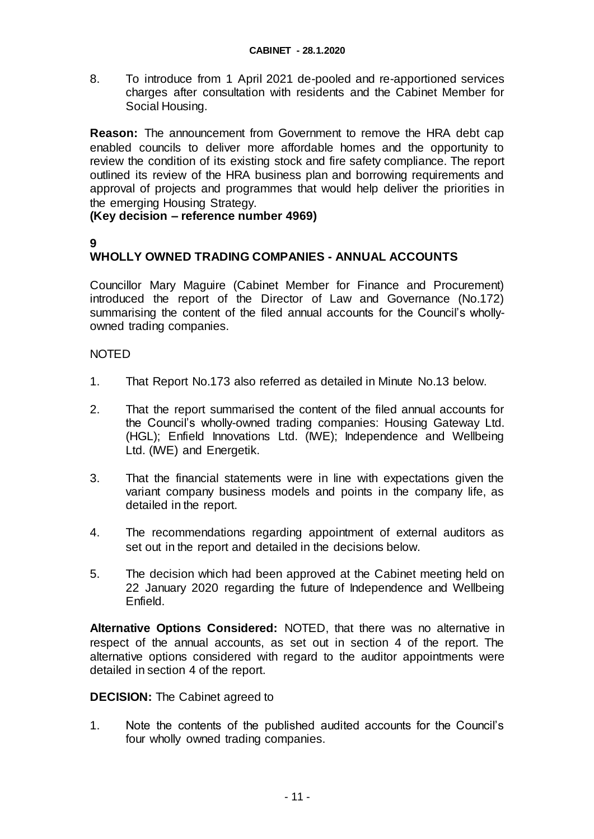8. To introduce from 1 April 2021 de-pooled and re-apportioned services charges after consultation with residents and the Cabinet Member for Social Housing.

**Reason:** The announcement from Government to remove the HRA debt cap enabled councils to deliver more affordable homes and the opportunity to review the condition of its existing stock and fire safety compliance. The report outlined its review of the HRA business plan and borrowing requirements and approval of projects and programmes that would help deliver the priorities in the emerging Housing Strategy.

### **(Key decision – reference number 4969)**

# **9**

# **WHOLLY OWNED TRADING COMPANIES - ANNUAL ACCOUNTS**

Councillor Mary Maguire (Cabinet Member for Finance and Procurement) introduced the report of the Director of Law and Governance (No.172) summarising the content of the filed annual accounts for the Council's whollyowned trading companies.

### NOTED

- 1. That Report No.173 also referred as detailed in Minute No.13 below.
- 2. That the report summarised the content of the filed annual accounts for the Council's wholly-owned trading companies: Housing Gateway Ltd. (HGL); Enfield Innovations Ltd. (IWE); Independence and Wellbeing Ltd. (IWE) and Energetik.
- 3. That the financial statements were in line with expectations given the variant company business models and points in the company life, as detailed in the report.
- 4. The recommendations regarding appointment of external auditors as set out in the report and detailed in the decisions below.
- 5. The decision which had been approved at the Cabinet meeting held on 22 January 2020 regarding the future of Independence and Wellbeing Enfield.

**Alternative Options Considered:** NOTED, that there was no alternative in respect of the annual accounts, as set out in section 4 of the report. The alternative options considered with regard to the auditor appointments were detailed in section 4 of the report.

#### **DECISION:** The Cabinet agreed to

1. Note the contents of the published audited accounts for the Council's four wholly owned trading companies.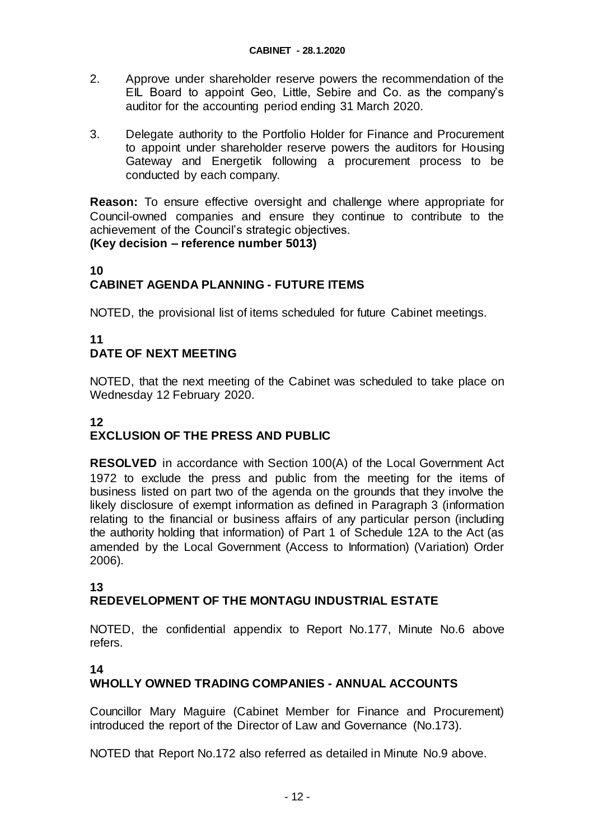- 2. Approve under shareholder reserve powers the recommendation of the EIL Board to appoint Geo, Little, Sebire and Co. as the company's auditor for the accounting period ending 31 March 2020.
- 3. Delegate authority to the Portfolio Holder for Finance and Procurement to appoint under shareholder reserve powers the auditors for Housing Gateway and Energetik following a procurement process to be conducted by each company.

**Reason:** To ensure effective oversight and challenge where appropriate for Council-owned companies and ensure they continue to contribute to the achievement of the Council's strategic objectives. **(Key decision – reference number 5013)**

### **10 CABINET AGENDA PLANNING - FUTURE ITEMS**

NOTED, the provisional list of items scheduled for future Cabinet meetings.

## **11 DATE OF NEXT MEETING**

NOTED, that the next meeting of the Cabinet was scheduled to take place on Wednesday 12 February 2020.

# **12 EXCLUSION OF THE PRESS AND PUBLIC**

**RESOLVED** in accordance with Section 100(A) of the Local Government Act 1972 to exclude the press and public from the meeting for the items of business listed on part two of the agenda on the grounds that they involve the likely disclosure of exempt information as defined in Paragraph 3 (information relating to the financial or business affairs of any particular person (including the authority holding that information) of Part 1 of Schedule 12A to the Act (as amended by the Local Government (Access to Information) (Variation) Order 2006).

# **13**

# **REDEVELOPMENT OF THE MONTAGU INDUSTRIAL ESTATE**

NOTED, the confidential appendix to Report No.177, Minute No.6 above refers.

#### **14**

# **WHOLLY OWNED TRADING COMPANIES - ANNUAL ACCOUNTS**

Councillor Mary Maguire (Cabinet Member for Finance and Procurement) introduced the report of the Director of Law and Governance (No.173).

NOTED that Report No.172 also referred as detailed in Minute No.9 above.